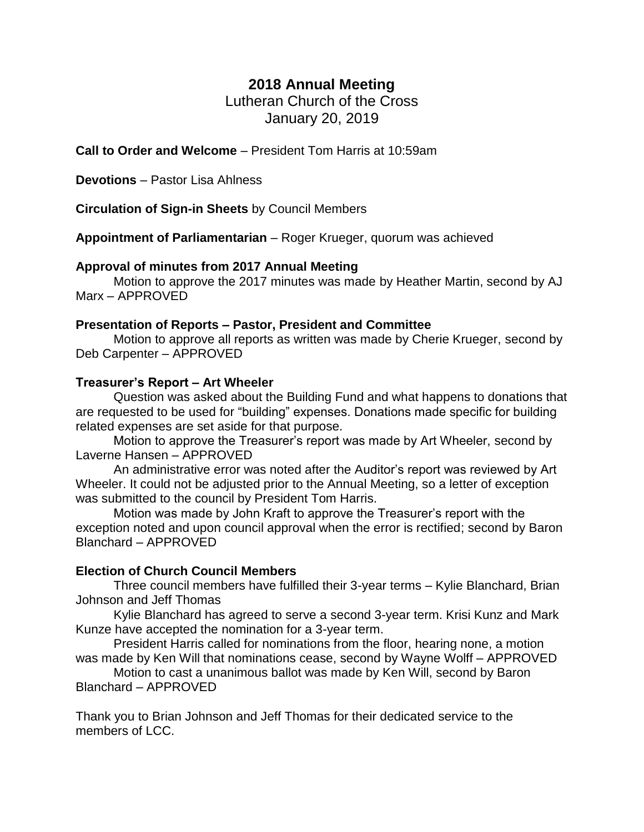# **2018 Annual Meeting**

Lutheran Church of the Cross January 20, 2019

**Call to Order and Welcome** – President Tom Harris at 10:59am

**Devotions** – Pastor Lisa Ahlness

**Circulation of Sign-in Sheets** by Council Members

**Appointment of Parliamentarian** – Roger Krueger, quorum was achieved

### **Approval of minutes from 2017 Annual Meeting**

Motion to approve the 2017 minutes was made by Heather Martin, second by AJ Marx – APPROVED

### **Presentation of Reports – Pastor, President and Committee**

Motion to approve all reports as written was made by Cherie Krueger, second by Deb Carpenter – APPROVED

### **Treasurer's Report – Art Wheeler**

Question was asked about the Building Fund and what happens to donations that are requested to be used for "building" expenses. Donations made specific for building related expenses are set aside for that purpose.

Motion to approve the Treasurer's report was made by Art Wheeler, second by Laverne Hansen – APPROVED

An administrative error was noted after the Auditor's report was reviewed by Art Wheeler. It could not be adjusted prior to the Annual Meeting, so a letter of exception was submitted to the council by President Tom Harris.

Motion was made by John Kraft to approve the Treasurer's report with the exception noted and upon council approval when the error is rectified; second by Baron Blanchard – APPROVED

## **Election of Church Council Members**

Three council members have fulfilled their 3-year terms – Kylie Blanchard, Brian Johnson and Jeff Thomas

Kylie Blanchard has agreed to serve a second 3-year term. Krisi Kunz and Mark Kunze have accepted the nomination for a 3-year term.

President Harris called for nominations from the floor, hearing none, a motion was made by Ken Will that nominations cease, second by Wayne Wolff – APPROVED

Motion to cast a unanimous ballot was made by Ken Will, second by Baron Blanchard – APPROVED

Thank you to Brian Johnson and Jeff Thomas for their dedicated service to the members of LCC.